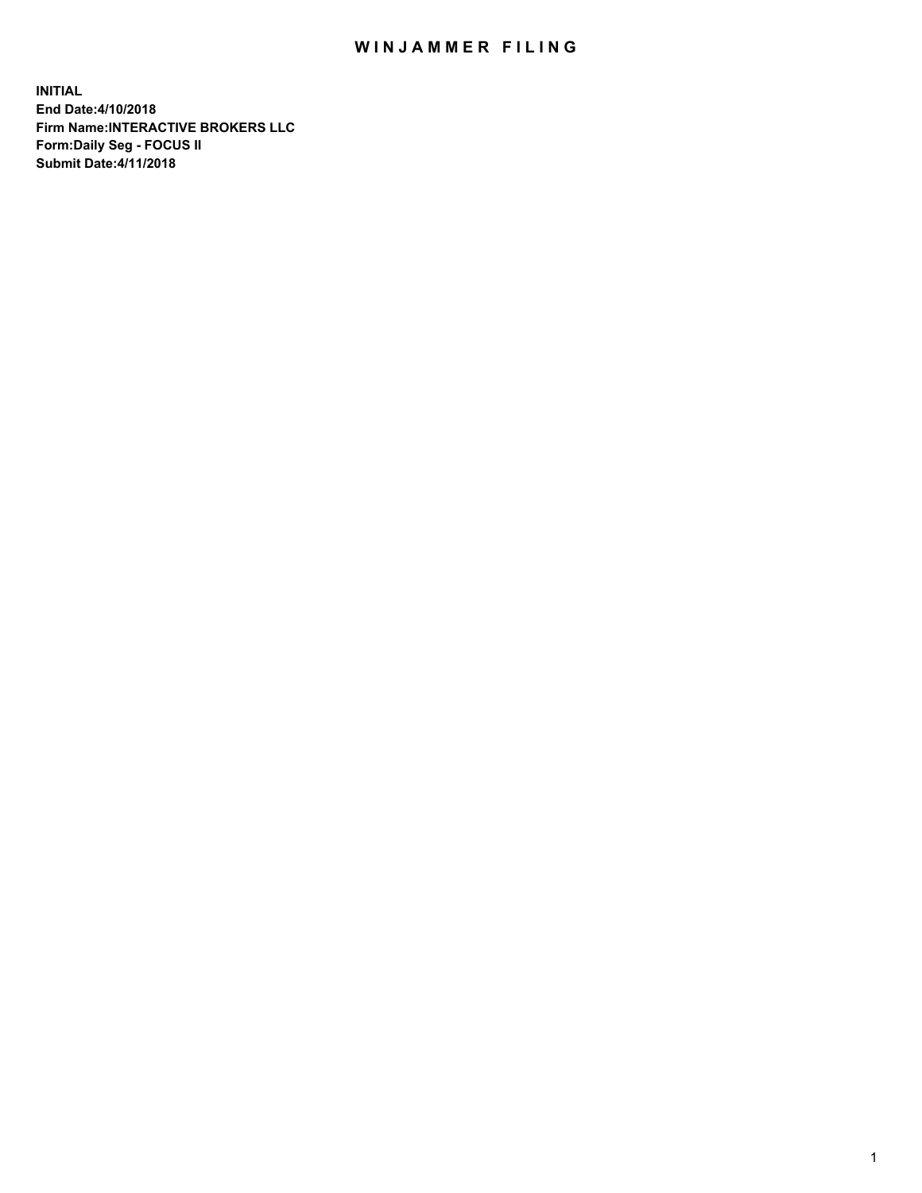## WIN JAMMER FILING

**INITIAL End Date:4/10/2018 Firm Name:INTERACTIVE BROKERS LLC Form:Daily Seg - FOCUS II Submit Date:4/11/2018**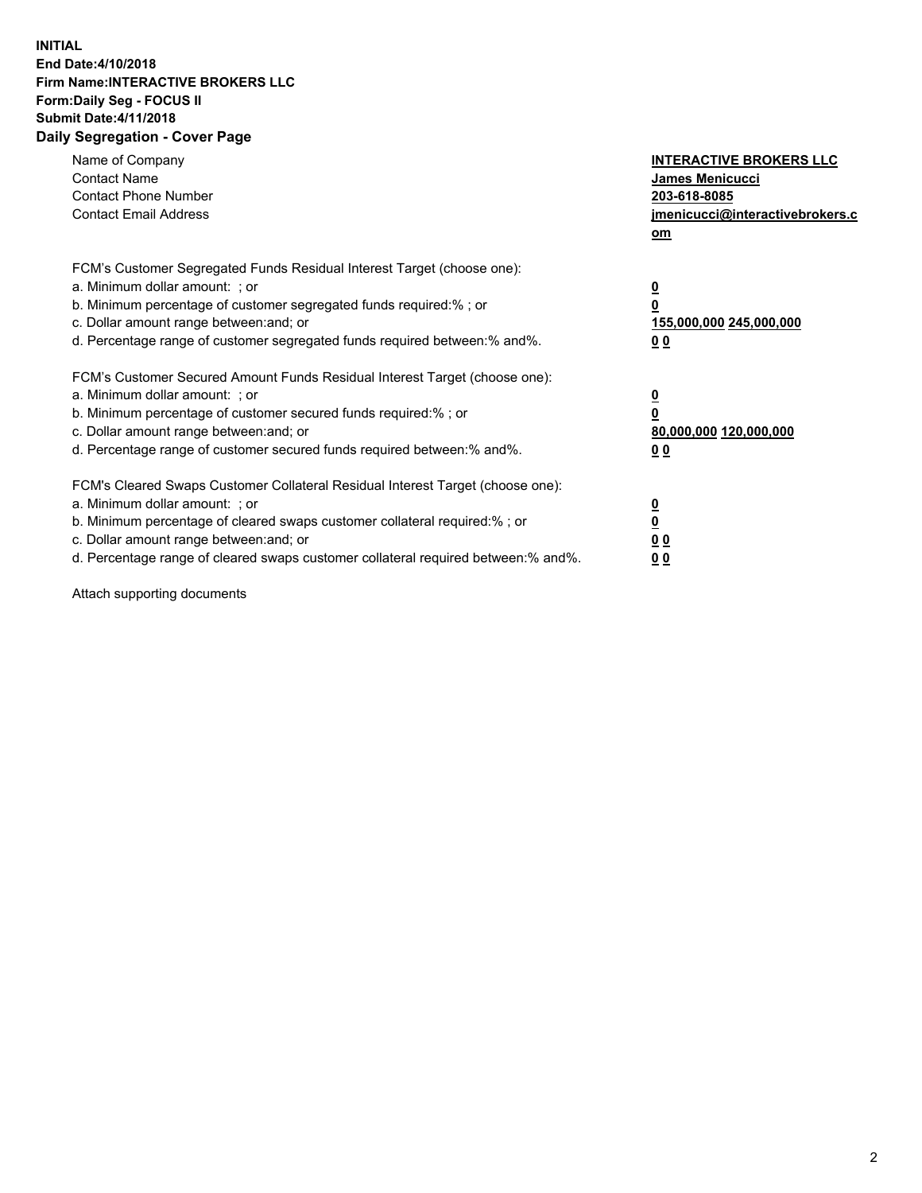## **INITIAL End Date:4/10/2018 Firm Name:INTERACTIVE BROKERS LLC Form:Daily Seg - FOCUS II Submit Date:4/11/2018 Daily Segregation - Cover Page**

| Name of Company<br><b>Contact Name</b><br><b>Contact Phone Number</b><br><b>Contact Email Address</b>                                                                                                                                                                                                                          | <b>INTERACTIVE BROKERS LLC</b><br><b>James Menicucci</b><br>203-618-8085<br>jmenicucci@interactivebrokers.c<br>om |
|--------------------------------------------------------------------------------------------------------------------------------------------------------------------------------------------------------------------------------------------------------------------------------------------------------------------------------|-------------------------------------------------------------------------------------------------------------------|
| FCM's Customer Segregated Funds Residual Interest Target (choose one):<br>a. Minimum dollar amount: ; or<br>b. Minimum percentage of customer segregated funds required:% ; or<br>c. Dollar amount range between: and; or<br>d. Percentage range of customer segregated funds required between: % and %.                       | $\overline{\mathbf{0}}$<br>0<br>155,000,000 245,000,000<br>00                                                     |
| FCM's Customer Secured Amount Funds Residual Interest Target (choose one):<br>a. Minimum dollar amount: ; or<br>b. Minimum percentage of customer secured funds required:%; or<br>c. Dollar amount range between: and; or<br>d. Percentage range of customer secured funds required between: % and %.                          | $\overline{\mathbf{0}}$<br>0<br>80,000,000 120,000,000<br>00                                                      |
| FCM's Cleared Swaps Customer Collateral Residual Interest Target (choose one):<br>a. Minimum dollar amount: ; or<br>b. Minimum percentage of cleared swaps customer collateral required:% ; or<br>c. Dollar amount range between: and; or<br>d. Percentage range of cleared swaps customer collateral required between:% and%. | $\overline{\mathbf{0}}$<br>$\overline{\mathbf{0}}$<br>00<br>0 <sub>0</sub>                                        |

Attach supporting documents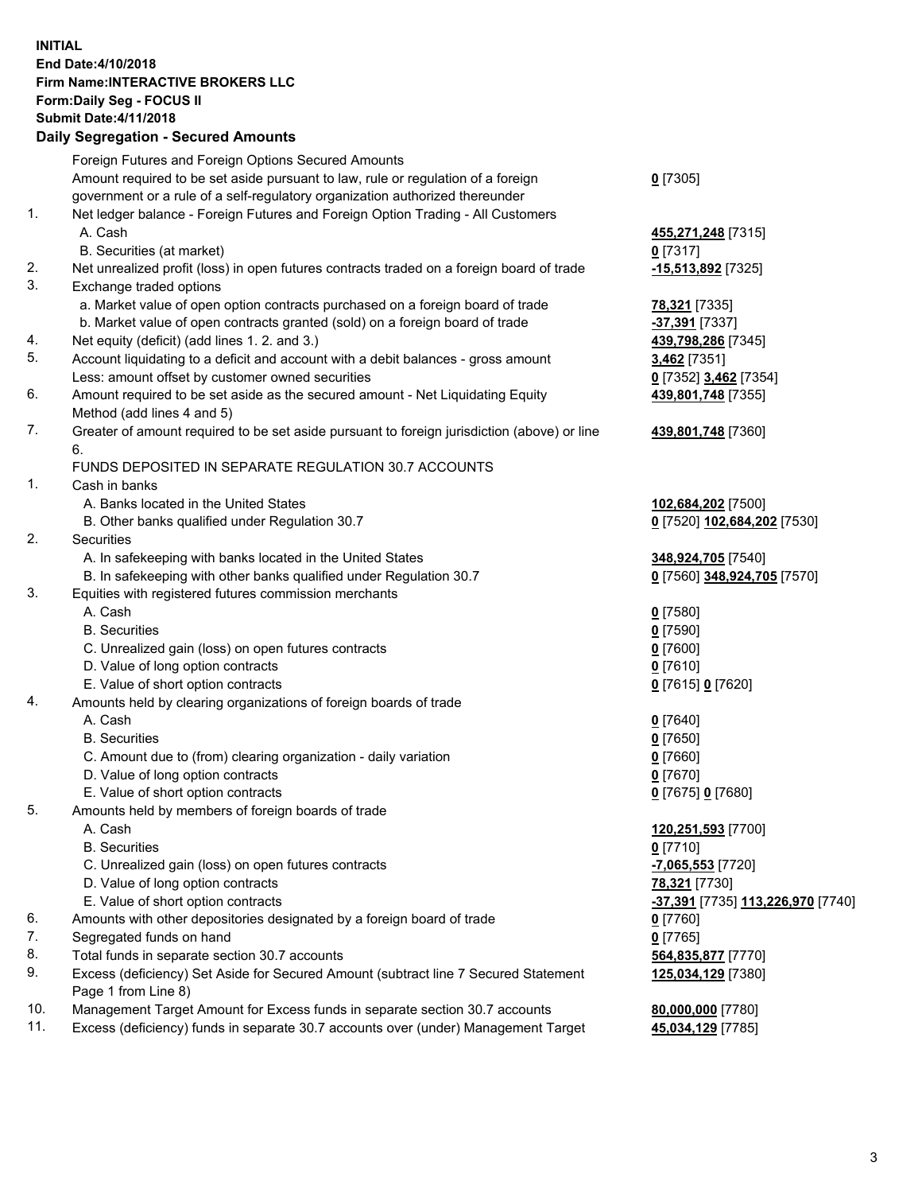## **INITIAL End Date:4/10/2018 Firm Name:INTERACTIVE BROKERS LLC Form:Daily Seg - FOCUS II Submit Date:4/11/2018 Daily Segregation - Secured Amounts**

|                | Daily Jegregation - Jeculed Aniounts                                                                       |                                   |
|----------------|------------------------------------------------------------------------------------------------------------|-----------------------------------|
|                | Foreign Futures and Foreign Options Secured Amounts                                                        |                                   |
|                | Amount required to be set aside pursuant to law, rule or regulation of a foreign                           | $0$ [7305]                        |
|                | government or a rule of a self-regulatory organization authorized thereunder                               |                                   |
| 1.             | Net ledger balance - Foreign Futures and Foreign Option Trading - All Customers                            |                                   |
|                | A. Cash                                                                                                    | 455,271,248 [7315]                |
|                | B. Securities (at market)                                                                                  | $0$ [7317]                        |
| 2.             | Net unrealized profit (loss) in open futures contracts traded on a foreign board of trade                  | -15,513,892 <sup>[7325]</sup>     |
| 3.             | Exchange traded options                                                                                    |                                   |
|                | a. Market value of open option contracts purchased on a foreign board of trade                             | <u>78,321</u> [7335]              |
|                | b. Market value of open contracts granted (sold) on a foreign board of trade                               | -37,391 [7337]                    |
| 4.             | Net equity (deficit) (add lines 1.2. and 3.)                                                               | 439,798,286 [7345]                |
| 5.             | Account liquidating to a deficit and account with a debit balances - gross amount                          | 3,462 [7351]                      |
|                | Less: amount offset by customer owned securities                                                           | 0 [7352] 3,462 [7354]             |
| 6.             | Amount required to be set aside as the secured amount - Net Liquidating Equity                             | 439,801,748 [7355]                |
|                | Method (add lines 4 and 5)                                                                                 |                                   |
| 7.             | Greater of amount required to be set aside pursuant to foreign jurisdiction (above) or line                | 439,801,748 [7360]                |
|                | 6.                                                                                                         |                                   |
|                | FUNDS DEPOSITED IN SEPARATE REGULATION 30.7 ACCOUNTS                                                       |                                   |
| $\mathbf{1}$ . | Cash in banks                                                                                              |                                   |
|                | A. Banks located in the United States                                                                      | 102,684,202 [7500]                |
|                | B. Other banks qualified under Regulation 30.7                                                             | 0 [7520] 102,684,202 [7530]       |
| 2.             | Securities                                                                                                 |                                   |
|                | A. In safekeeping with banks located in the United States                                                  | 348,924,705 [7540]                |
|                | B. In safekeeping with other banks qualified under Regulation 30.7                                         | 0 [7560] 348,924,705 [7570]       |
| 3.             | Equities with registered futures commission merchants                                                      |                                   |
|                | A. Cash                                                                                                    | $0$ [7580]                        |
|                | <b>B.</b> Securities                                                                                       | $0$ [7590]                        |
|                | C. Unrealized gain (loss) on open futures contracts                                                        | $0$ [7600]                        |
|                | D. Value of long option contracts                                                                          | $0$ [7610]                        |
|                | E. Value of short option contracts                                                                         | 0 [7615] 0 [7620]                 |
| 4.             | Amounts held by clearing organizations of foreign boards of trade                                          |                                   |
|                | A. Cash                                                                                                    | $0$ [7640]                        |
|                | <b>B.</b> Securities                                                                                       | $0$ [7650]                        |
|                | C. Amount due to (from) clearing organization - daily variation                                            | $0$ [7660]                        |
|                | D. Value of long option contracts                                                                          | $0$ [7670]                        |
|                | E. Value of short option contracts                                                                         | 0 [7675] 0 [7680]                 |
| 5.             | Amounts held by members of foreign boards of trade                                                         |                                   |
|                | A. Cash                                                                                                    | 120,251,593 [7700]                |
|                | <b>B.</b> Securities                                                                                       | $0$ [7710]                        |
|                | C. Unrealized gain (loss) on open futures contracts                                                        | -7,065,553 [7720]                 |
|                | D. Value of long option contracts                                                                          | 78,321 [7730]                     |
|                | E. Value of short option contracts                                                                         | -37,391 [7735] 113,226,970 [7740] |
| 6.             | Amounts with other depositories designated by a foreign board of trade                                     | $0$ [7760]                        |
| 7.             | Segregated funds on hand                                                                                   | $0$ [7765]                        |
| 8.             | Total funds in separate section 30.7 accounts                                                              | 564,835,877 [7770]                |
| 9.             | Excess (deficiency) Set Aside for Secured Amount (subtract line 7 Secured Statement<br>Page 1 from Line 8) | 125,034,129 [7380]                |
| 10.            | Management Target Amount for Excess funds in separate section 30.7 accounts                                | 80,000,000 [7780]                 |
| 11.            | Excess (deficiency) funds in separate 30.7 accounts over (under) Management Target                         | 45,034,129 [7785]                 |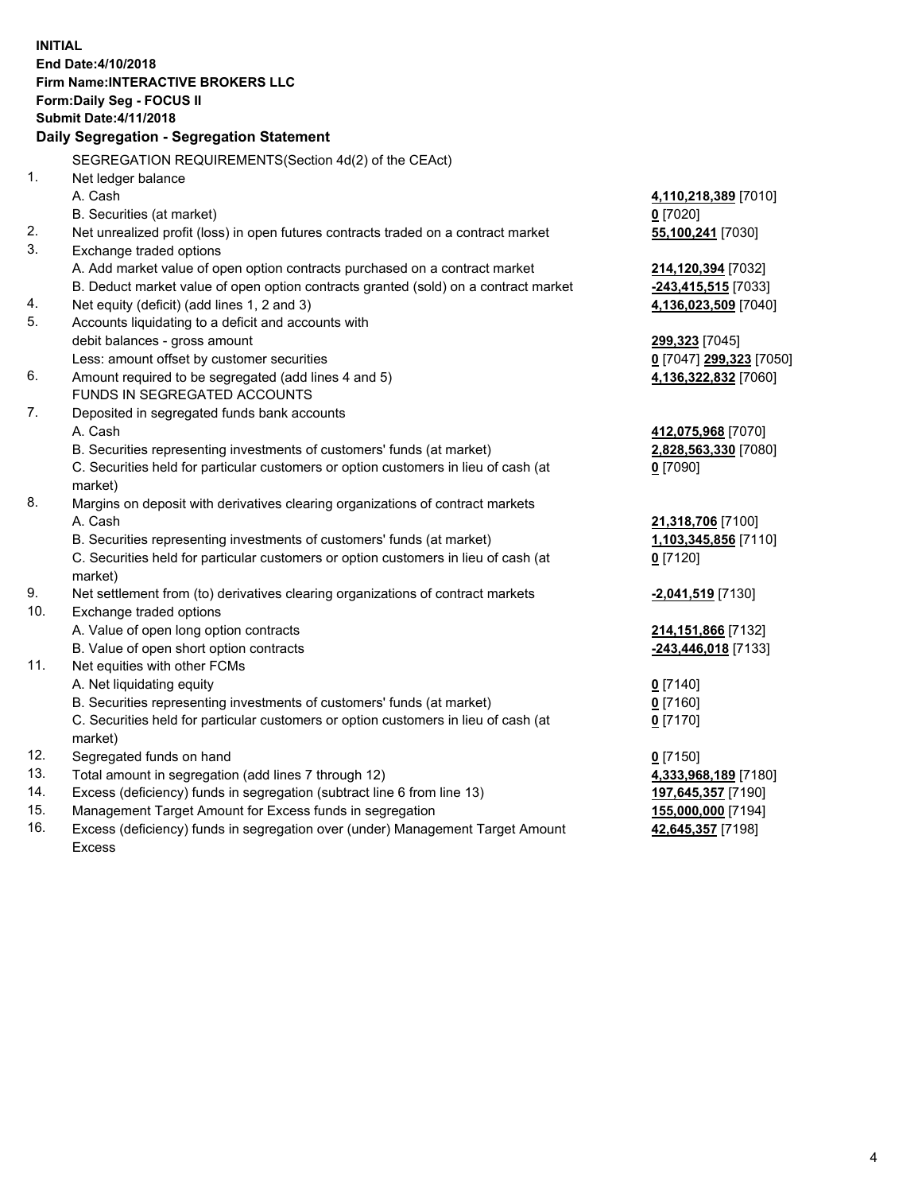**INITIAL End Date:4/10/2018 Firm Name:INTERACTIVE BROKERS LLC Form:Daily Seg - FOCUS II Submit Date:4/11/2018 Daily Segregation - Segregation Statement** SEGREGATION REQUIREMENTS(Section 4d(2) of the CEAct) 1. Net ledger balance A. Cash **4,110,218,389** [7010] B. Securities (at market) **0** [7020] 2. Net unrealized profit (loss) in open futures contracts traded on a contract market **55,100,241** [7030] 3. Exchange traded options A. Add market value of open option contracts purchased on a contract market **214,120,394** [7032] B. Deduct market value of open option contracts granted (sold) on a contract market **-243,415,515** [7033] 4. Net equity (deficit) (add lines 1, 2 and 3) **4,136,023,509** [7040] 5. Accounts liquidating to a deficit and accounts with debit balances - gross amount **299,323** [7045] Less: amount offset by customer securities **0** [7047] **299,323** [7050] 6. Amount required to be segregated (add lines 4 and 5) **4,136,322,832** [7060] FUNDS IN SEGREGATED ACCOUNTS 7. Deposited in segregated funds bank accounts A. Cash **412,075,968** [7070] B. Securities representing investments of customers' funds (at market) **2,828,563,330** [7080] C. Securities held for particular customers or option customers in lieu of cash (at market) **0** [7090] 8. Margins on deposit with derivatives clearing organizations of contract markets A. Cash **21,318,706** [7100] B. Securities representing investments of customers' funds (at market) **1,103,345,856** [7110] C. Securities held for particular customers or option customers in lieu of cash (at market) **0** [7120] 9. Net settlement from (to) derivatives clearing organizations of contract markets **-2,041,519** [7130] 10. Exchange traded options A. Value of open long option contracts **214,151,866** [7132] B. Value of open short option contracts **-243,446,018** [7133] 11. Net equities with other FCMs A. Net liquidating equity **0** [7140] B. Securities representing investments of customers' funds (at market) **0** [7160] C. Securities held for particular customers or option customers in lieu of cash (at market) **0** [7170] 12. Segregated funds on hand **0** [7150] 13. Total amount in segregation (add lines 7 through 12) **4,333,968,189** [7180] 14. Excess (deficiency) funds in segregation (subtract line 6 from line 13) **197,645,357** [7190] 15. Management Target Amount for Excess funds in segregation **155,000,000** [7194]

16. Excess (deficiency) funds in segregation over (under) Management Target Amount Excess

**42,645,357** [7198]